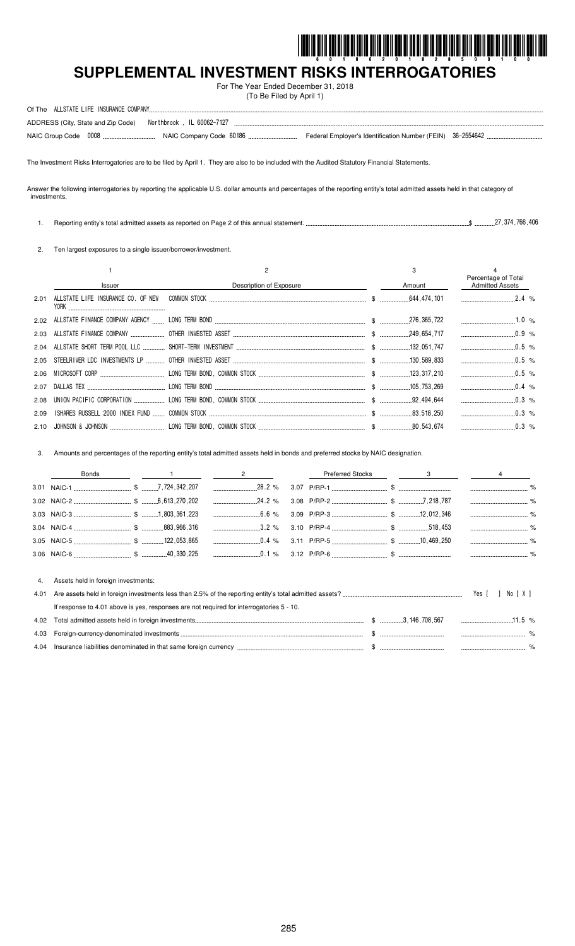

# **SUPPLEMENTAL INVESTMENT RISKS INTERROGATORIES**

For The Year Ended December 31, 2018 (To Be Filed by April 1)

| ALLSTATE LIFE INSURANCE COMPANY.<br>Of The                       |                                                             |  |
|------------------------------------------------------------------|-------------------------------------------------------------|--|
| Northbrook . IL 60062-7127<br>ADDRESS (City, State and Zip Code) |                                                             |  |
| NAIC Group Code 0008.                                            | Federal Employer's Identification Number (FEIN) 36-2554642. |  |

The Investment Risks Interrogatories are to be filed by April 1. They are also to be included with the Audited Statutory Financial Statements.

Answer the following interrogatories by reporting the applicable U.S. dollar amounts and percentages of the reporting entity's total admitted assets held in that category of investments.

1. Reporting entity's total admitted assets as reported on Page 2 of this annual statement. \$ 27,374,766,406

2. Ten largest exposures to a single issuer/borrower/investment.

|      |                          |                         |        | Percentage of Total    |
|------|--------------------------|-------------------------|--------|------------------------|
|      | <b>Issuer</b>            | Description of Exposure | Amount | <b>Admitted Assets</b> |
| 2.01 | <b>YORK Example 2008</b> |                         |        | 2.4 %                  |
|      |                          |                         |        |                        |
|      |                          |                         |        |                        |
|      |                          |                         |        | $0.5\%$                |
|      |                          |                         |        | 0.5 %                  |
|      |                          |                         |        | $\ldots$ 0.5 %         |
|      |                          |                         |        | $0.4\%$                |
|      |                          |                         |        | $0.3\%$                |
| 2.09 |                          |                         |        | $0.3 \%$               |
|      |                          |                         |        |                        |

3. Amounts and percentages of the reporting entity's total admitted assets held in bonds and preferred stocks by NAIC designation.

|      | Bonds                                                                                    | $\overline{2}$ | <b>Preferred Stocks</b> | 3 |                  |
|------|------------------------------------------------------------------------------------------|----------------|-------------------------|---|------------------|
|      |                                                                                          |                |                         |   | %                |
|      |                                                                                          |                |                         |   | $\%$             |
|      |                                                                                          |                |                         |   | $\frac{9}{6}$    |
|      |                                                                                          | $3.2\%$        |                         |   | $\frac{9}{6}$    |
|      |                                                                                          |                |                         |   | $\frac{1}{2}$    |
|      |                                                                                          |                |                         |   |                  |
| 4.   | Assets held in foreign investments:                                                      |                |                         |   |                  |
| 4.01 |                                                                                          |                |                         |   | Yes [   No [ X ] |
|      | If response to 4.01 above is yes, responses are not required for interrogatories 5 - 10. |                |                         |   |                  |
| 4.02 |                                                                                          |                |                         |   | .11.5%           |
|      | 4.02 Earnigp ourrange depeningted investments                                            |                |                         |   | $\Omega$         |

| 4.03 | ∙oreia<br>currer<br>$\sim$<br>י הזה ר<br>הווהו | --------------------------------<br>------- |  |
|------|------------------------------------------------|---------------------------------------------|--|
| 4.04 | tha<br>. m<br>urrency                          | ------------------------------              |  |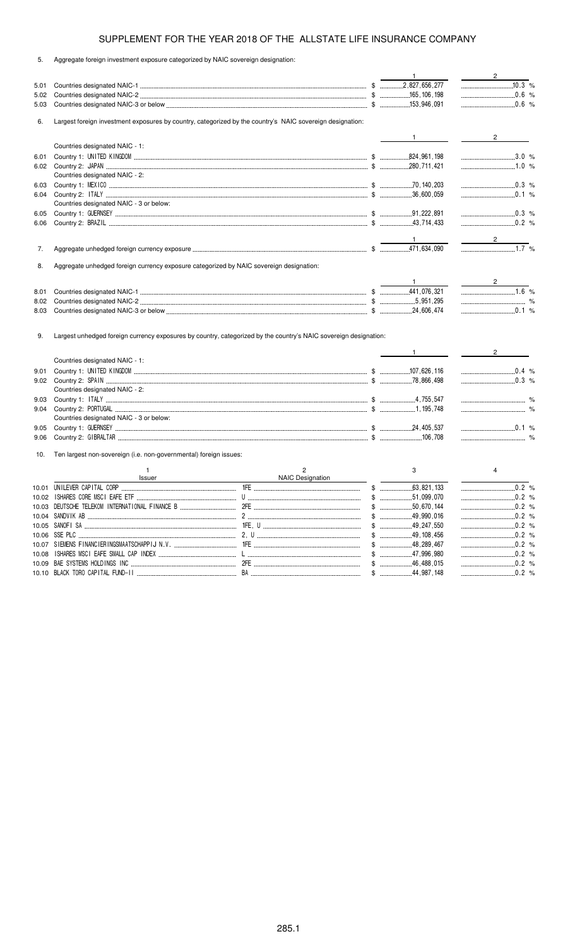5. Aggregate foreign investment exposure categorized by NAIC sovereign designation:

|      |                                                                                                           |                         | $\mathbf{1}$        | $2 \left( \frac{1}{2} \right)$ |
|------|-----------------------------------------------------------------------------------------------------------|-------------------------|---------------------|--------------------------------|
| 5.01 |                                                                                                           |                         |                     |                                |
| 5.02 |                                                                                                           |                         |                     | $\ldots$ 0.6 %                 |
| 5.03 |                                                                                                           |                         |                     |                                |
| 6.   | Largest foreign investment exposures by country, categorized by the country's NAIC sovereign designation: |                         |                     |                                |
|      |                                                                                                           |                         |                     | $2 \left( \frac{1}{2} \right)$ |
|      | Countries designated NAIC - 1:                                                                            |                         |                     |                                |
| 6.01 |                                                                                                           |                         |                     | 3.0 %                          |
|      |                                                                                                           |                         |                     | $\ldots$ 1.0 %                 |
|      | Countries designated NAIC - 2:                                                                            |                         |                     |                                |
| 6.03 |                                                                                                           |                         |                     | $\frac{1}{2}$ 0.3 %            |
| 6.04 | Countries designated NAIC - 3 or below:                                                                   |                         |                     | $\frac{1}{2}$ 0.1 %            |
| 6.05 |                                                                                                           |                         |                     |                                |
| 6.06 |                                                                                                           |                         |                     |                                |
|      |                                                                                                           |                         |                     |                                |
|      |                                                                                                           |                         |                     |                                |
| 7.   |                                                                                                           |                         |                     | $\frac{1}{1.7}$ %              |
| 8.   | Aggregate unhedged foreign currency exposure categorized by NAIC sovereign designation:                   |                         |                     |                                |
|      |                                                                                                           |                         |                     |                                |
| 8.01 |                                                                                                           |                         |                     | 1.6 %                          |
| 8.02 |                                                                                                           |                         |                     |                                |
| 8.03 |                                                                                                           |                         |                     | $\ldots$ 0.1 %                 |
|      |                                                                                                           |                         | $1$ and $1$ and $1$ | $2 \left( \frac{1}{2} \right)$ |
|      | Countries designated NAIC - 1:                                                                            |                         |                     |                                |
| 9.01 |                                                                                                           |                         |                     | $\ldots$ 0.4 %                 |
| 9.02 |                                                                                                           |                         |                     | $\ldots$ 0.3 %                 |
|      | Countries designated NAIC - 2:                                                                            |                         |                     |                                |
| 9.03 |                                                                                                           |                         |                     |                                |
| 9.04 | Countries designated NAIC - 3 or below:                                                                   |                         |                     |                                |
| 9.05 |                                                                                                           |                         |                     |                                |
| 9.06 |                                                                                                           |                         |                     |                                |
| 10.  | Ten largest non-sovereign (i.e. non-governmental) foreign issues:                                         |                         |                     |                                |
|      | 1                                                                                                         | 2                       | 3                   | 4                              |
|      | Issuer                                                                                                    | <b>NAIC Designation</b> |                     |                                |
|      |                                                                                                           |                         |                     | $0.2 \%$                       |
|      |                                                                                                           |                         |                     |                                |
|      |                                                                                                           |                         |                     | 0.2 %                          |
|      |                                                                                                           |                         |                     |                                |
|      |                                                                                                           |                         |                     |                                |
|      |                                                                                                           |                         |                     |                                |
|      |                                                                                                           |                         |                     | $\ldots$ 0.2 %                 |
|      |                                                                                                           |                         |                     |                                |
|      |                                                                                                           |                         |                     |                                |
|      |                                                                                                           |                         |                     | $0.2\%$                        |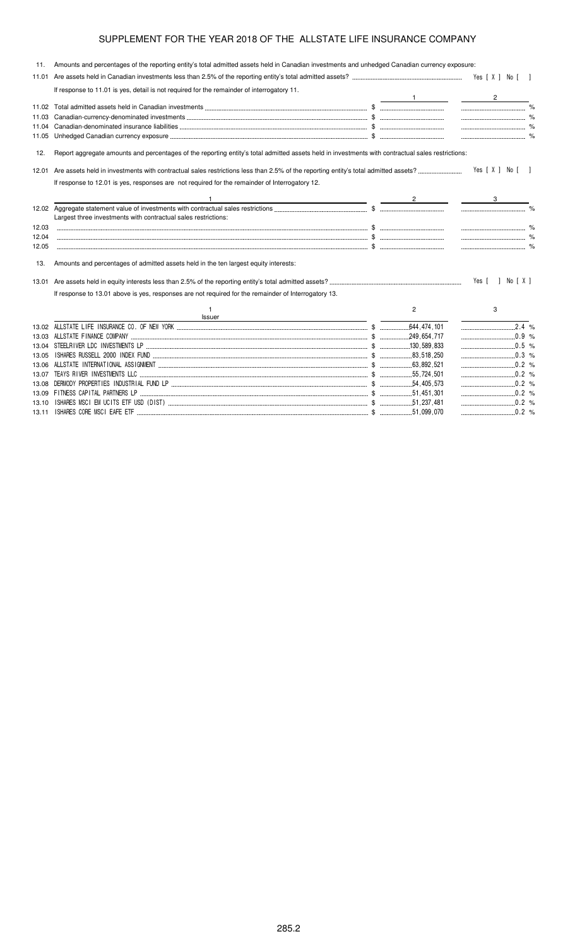| 11.   | Amounts and percentages of the reporting entity's total admitted assets held in Canadian investments and unhedged Canadian currency exposure:     |                |                      |
|-------|---------------------------------------------------------------------------------------------------------------------------------------------------|----------------|----------------------|
| 11.01 |                                                                                                                                                   |                |                      |
|       | If response to 11.01 is yes, detail is not required for the remainder of interrogatory 11.                                                        |                |                      |
| 11.02 |                                                                                                                                                   |                | $\frac{2}{\sqrt{2}}$ |
| 11.03 |                                                                                                                                                   |                |                      |
| 11.04 |                                                                                                                                                   |                |                      |
| 11.05 |                                                                                                                                                   |                |                      |
|       |                                                                                                                                                   |                |                      |
| 12.   | Report aggregate amounts and percentages of the reporting entity's total admitted assets held in investments with contractual sales restrictions: |                |                      |
|       |                                                                                                                                                   |                | Yes [ X ] No [ ]     |
|       | If response to 12.01 is yes, responses are not required for the remainder of Interrogatory 12.                                                    |                |                      |
|       | <u> 1989 - Johann Barbara, martin amerikan basar dan basa dan basa dalam basa dalam basa dalam basa dalam basa da</u>                             |                |                      |
|       | Largest three investments with contractual sales restrictions:                                                                                    |                |                      |
| 12.03 |                                                                                                                                                   |                |                      |
| 12.04 |                                                                                                                                                   |                |                      |
| 12.05 |                                                                                                                                                   |                |                      |
| 13.   | Amounts and percentages of admitted assets held in the ten largest equity interests:                                                              |                |                      |
|       |                                                                                                                                                   |                | Yes [ ] No [ X ]     |
|       | If response to 13.01 above is yes, responses are not required for the remainder of Interrogatory 13.                                              |                |                      |
|       | $\mathbf{1}$<br>Issuer                                                                                                                            | $\overline{2}$ | 3                    |
| 13.02 |                                                                                                                                                   |                |                      |
|       |                                                                                                                                                   |                | $\ldots$ 0.9 %       |
|       |                                                                                                                                                   |                |                      |
| 13.05 |                                                                                                                                                   |                |                      |
| 13.06 |                                                                                                                                                   |                |                      |
|       |                                                                                                                                                   |                | $\ldots$ 0.2 %       |
|       |                                                                                                                                                   |                | $\ldots$ 0.2 %       |
|       |                                                                                                                                                   |                | $\ldots$ 0.2 %       |
|       |                                                                                                                                                   |                |                      |

13.11 ISHARES CORE MSCI EAFE ETF \$ 51,099,070 0.2 %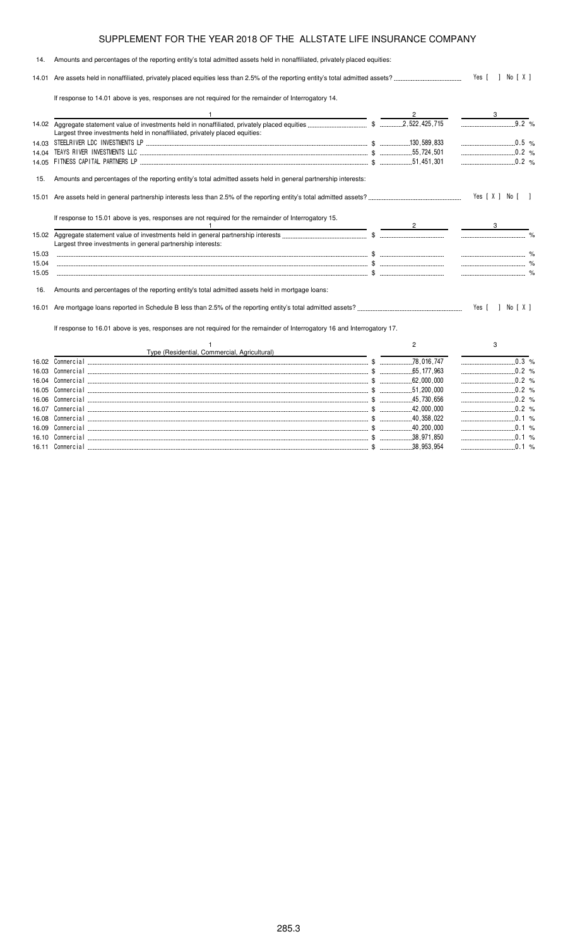14. Amounts and percentages of the reporting entity's total admitted assets held in nonaffiliated, privately placed equities:

14.01 Are assets held in nonaffiliated, privately placed equities less than 2.5% of the reporting entity's total admitted assets? Yes [ ] No [ X ]

If response to 14.01 above is yes, responses are not required for the remainder of Interrogatory 14.

16.11 Commercial \$ 38,953,954 0.1 %

|       |                                                                                                                           | 2 | 3                   |  |
|-------|---------------------------------------------------------------------------------------------------------------------------|---|---------------------|--|
|       | Largest three investments held in nonaffiliated, privately placed equities:                                               |   | 9.2%                |  |
|       |                                                                                                                           |   |                     |  |
| 14.04 |                                                                                                                           |   | $0.2$ %             |  |
| 14.05 |                                                                                                                           |   | $\ldots$ 0.2 %      |  |
| 15.   | Amounts and percentages of the reporting entity's total admitted assets held in general partnership interests:            |   |                     |  |
|       |                                                                                                                           |   | Yes [ X ] No [ ]    |  |
|       | If response to 15.01 above is yes, responses are not required for the remainder of Interrogatory 15.                      |   |                     |  |
|       |                                                                                                                           |   |                     |  |
|       | Largest three investments in general partnership interests:                                                               |   |                     |  |
| 15.03 |                                                                                                                           |   |                     |  |
| 15.04 |                                                                                                                           |   |                     |  |
| 15.05 |                                                                                                                           |   |                     |  |
| 16.   | Amounts and percentages of the reporting entity's total admitted assets held in mortgage loans:                           |   | Yes [ ] No [ X ]    |  |
|       | If response to 16.01 above is yes, responses are not required for the remainder of Interrogatory 16 and Interrogatory 17. |   |                     |  |
|       |                                                                                                                           | 2 | 3                   |  |
|       | Type (Residential, Commercial, Agricultural)                                                                              |   |                     |  |
|       |                                                                                                                           |   |                     |  |
| 16.03 |                                                                                                                           |   | $0.2$ %             |  |
| 16.04 |                                                                                                                           |   | $\frac{1}{2}$ 0.2 % |  |
| 16.05 |                                                                                                                           |   |                     |  |
| 16.06 |                                                                                                                           |   |                     |  |
| 16.07 |                                                                                                                           |   | $0.2$ %             |  |
| 16.08 |                                                                                                                           |   | $\ldots$ 0.1 %      |  |
| 16.09 |                                                                                                                           |   | $\ldots$ 0.1 %      |  |
|       |                                                                                                                           |   | $\ldots$ 0.1 %      |  |

16.10 Commercial \$ 38,971,850 0.1 %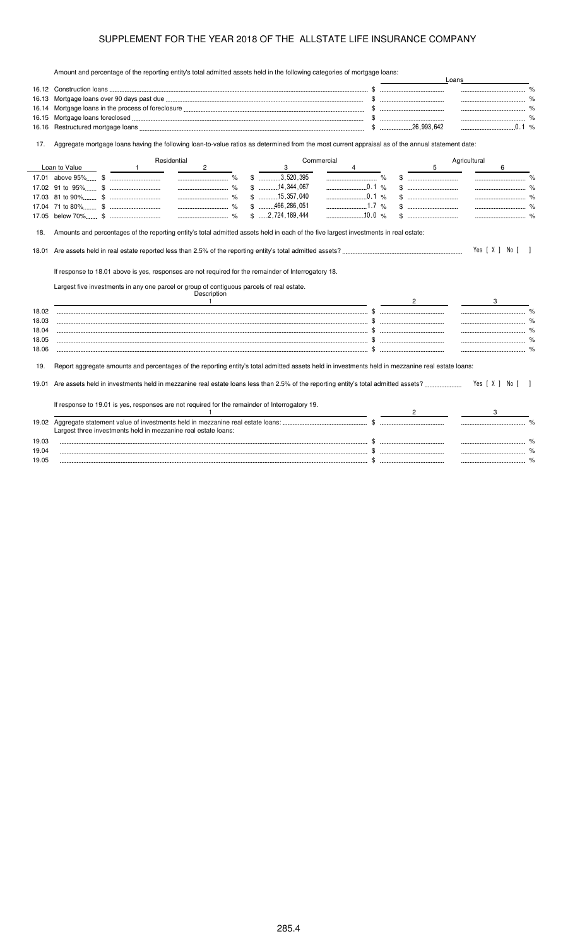Amount and percentage of the reporting entity's total admitted assets held in the following categories of mortgage loans:

|       | Amount and percentage of the reporting entity's total admitted assets held in the following categories of mongage loans.                          |            |         | Loans                                           |                          |               |
|-------|---------------------------------------------------------------------------------------------------------------------------------------------------|------------|---------|-------------------------------------------------|--------------------------|---------------|
|       |                                                                                                                                                   |            |         |                                                 |                          |               |
| 16.13 |                                                                                                                                                   |            |         |                                                 | $\%$                     |               |
| 16.14 |                                                                                                                                                   |            |         |                                                 |                          |               |
| 16.15 |                                                                                                                                                   |            |         |                                                 |                          |               |
| 16.16 |                                                                                                                                                   |            |         |                                                 |                          |               |
| 17.   | Aggregate mortgage loans having the following loan-to-value ratios as determined from the most current appraisal as of the annual statement date: |            |         |                                                 |                          |               |
|       | Residential                                                                                                                                       | Commercial |         |                                                 | Agricultural             |               |
|       | Loan to Value<br>$\mathbf{1}$<br>$\overline{c}$                                                                                                   | 3<br>4     |         | 5                                               | 6                        |               |
|       | $$$ 3,520,395                                                                                                                                     |            |         |                                                 |                          |               |
|       | $$$ 14, 344, 067                                                                                                                                  |            | 0.1 %   |                                                 |                          |               |
|       | $$$ 15,357,040                                                                                                                                    |            | 0.1 %   |                                                 |                          |               |
|       | $$$ 466, 286, 051                                                                                                                                 |            | $1.7\%$ | $\mathbb{S}$ . The substitution of $\mathbb{S}$ |                          |               |
|       | $$ \dots 2,724,189,444$                                                                                                                           |            | 10.0 %  |                                                 |                          |               |
|       |                                                                                                                                                   |            |         |                                                 |                          |               |
| 18.   | Amounts and percentages of the reporting entity's total admitted assets held in each of the five largest investments in real estate:              |            |         |                                                 |                          |               |
|       |                                                                                                                                                   |            |         |                                                 | Yes [ X ] No [<br>$\Box$ |               |
|       |                                                                                                                                                   |            |         |                                                 |                          |               |
|       | If response to 18.01 above is yes, responses are not required for the remainder of Interrogatory 18.                                              |            |         |                                                 |                          |               |
|       | Largest five investments in any one parcel or group of contiguous parcels of real estate.                                                         |            |         |                                                 |                          |               |
|       | Description                                                                                                                                       |            |         |                                                 |                          |               |
|       | $\overline{1}$                                                                                                                                    |            |         |                                                 | 3                        |               |
| 18.02 |                                                                                                                                                   |            |         |                                                 |                          | $\frac{1}{2}$ |
| 18.03 |                                                                                                                                                   |            |         |                                                 |                          |               |
| 18.04 |                                                                                                                                                   |            |         |                                                 |                          |               |
| 18.05 |                                                                                                                                                   |            |         |                                                 |                          |               |
| 18.06 |                                                                                                                                                   |            |         |                                                 |                          |               |
| 19.   | Report aggregate amounts and percentages of the reporting entity's total admitted assets held in investments held in mezzanine real estate loans: |            |         |                                                 |                          |               |
|       |                                                                                                                                                   |            |         |                                                 |                          |               |
| 19.01 |                                                                                                                                                   |            |         |                                                 | Yes [ X ] No [ ]         |               |
|       | If response to 19.01 is yes, responses are not required for the remainder of Interrogatory 19.                                                    |            |         |                                                 |                          |               |
|       |                                                                                                                                                   |            |         |                                                 |                          |               |
|       | Largest three investments held in mezzanine real estate loans:                                                                                    |            |         |                                                 |                          |               |
|       |                                                                                                                                                   |            |         |                                                 |                          |               |
| 19.03 |                                                                                                                                                   |            |         |                                                 |                          |               |
| 19.04 |                                                                                                                                                   |            |         |                                                 |                          |               |
| 19.05 |                                                                                                                                                   |            |         |                                                 |                          |               |